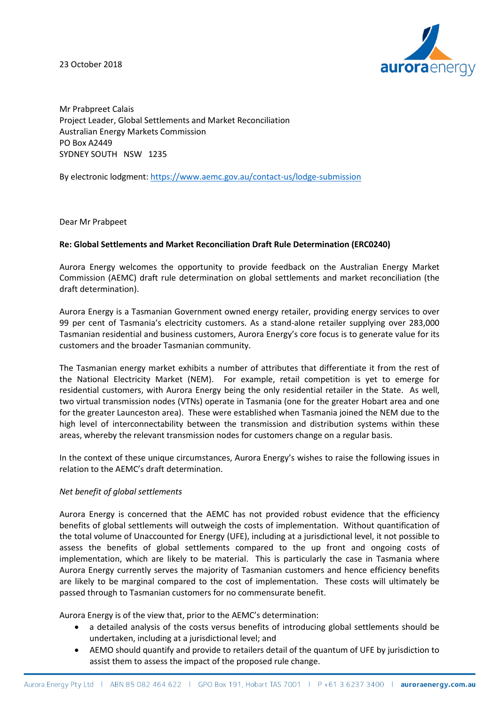23 October 2018



Mr Prabpreet Calais Project Leader, Global Settlements and Market Reconciliation Australian Energy Markets Commission PO Box A2449 SYDNEY SOUTH NSW 1235

By electronic lodgment[: https://www.aemc.gov.au/contact-us/lodge-submission](https://www.aemc.gov.au/contact-us/lodge-submission)

Dear Mr Prabpeet

## **Re: Global Settlements and Market Reconciliation Draft Rule Determination (ERC0240)**

Aurora Energy welcomes the opportunity to provide feedback on the Australian Energy Market Commission (AEMC) draft rule determination on global settlements and market reconciliation (the draft determination).

Aurora Energy is a Tasmanian Government owned energy retailer, providing energy services to over 99 per cent of Tasmania's electricity customers. As a stand-alone retailer supplying over 283,000 Tasmanian residential and business customers, Aurora Energy's core focus is to generate value for its customers and the broader Tasmanian community.

The Tasmanian energy market exhibits a number of attributes that differentiate it from the rest of the National Electricity Market (NEM). For example, retail competition is yet to emerge for residential customers, with Aurora Energy being the only residential retailer in the State. As well, two virtual transmission nodes (VTNs) operate in Tasmania (one for the greater Hobart area and one for the greater Launceston area). These were established when Tasmania joined the NEM due to the high level of interconnectability between the transmission and distribution systems within these areas, whereby the relevant transmission nodes for customers change on a regular basis.

In the context of these unique circumstances, Aurora Energy's wishes to raise the following issues in relation to the AEMC's draft determination.

## *Net benefit of global settlements*

Aurora Energy is concerned that the AEMC has not provided robust evidence that the efficiency benefits of global settlements will outweigh the costs of implementation. Without quantification of the total volume of Unaccounted for Energy (UFE), including at a jurisdictional level, it not possible to assess the benefits of global settlements compared to the up front and ongoing costs of implementation, which are likely to be material. This is particularly the case in Tasmania where Aurora Energy currently serves the majority of Tasmanian customers and hence efficiency benefits are likely to be marginal compared to the cost of implementation. These costs will ultimately be passed through to Tasmanian customers for no commensurate benefit.

Aurora Energy is of the view that, prior to the AEMC's determination:

- a detailed analysis of the costs versus benefits of introducing global settlements should be undertaken, including at a jurisdictional level; and
- AEMO should quantify and provide to retailers detail of the quantum of UFE by jurisdiction to assist them to assess the impact of the proposed rule change.